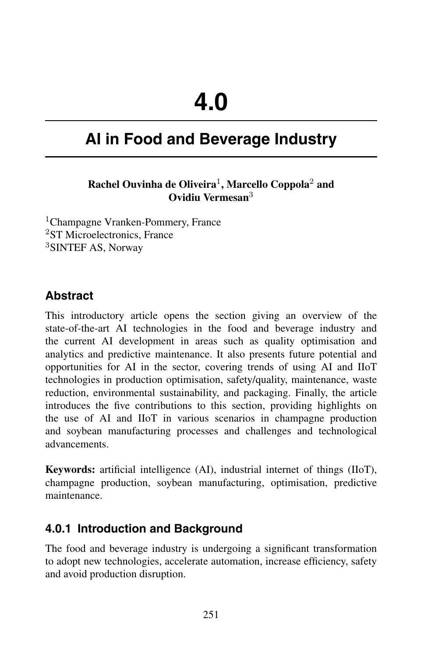# **AI in Food and Beverage Industry**

#### **Rachel Ouvinha de Oliveira**<sup>1</sup> **, Marcello Coppola**<sup>2</sup> **and Ovidiu Vermesan**<sup>3</sup>

<sup>1</sup>Champagne Vranken-Pommery, France <sup>2</sup>ST Microelectronics, France <sup>3</sup>SINTEF AS, Norway

## **Abstract**

This introductory article opens the section giving an overview of the state-of-the-art AI technologies in the food and beverage industry and the current AI development in areas such as quality optimisation and analytics and predictive maintenance. It also presents future potential and opportunities for AI in the sector, covering trends of using AI and IIoT technologies in production optimisation, safety/quality, maintenance, waste reduction, environmental sustainability, and packaging. Finally, the article introduces the five contributions to this section, providing highlights on the use of AI and IIoT in various scenarios in champagne production and soybean manufacturing processes and challenges and technological advancements.

**Keywords:** artificial intelligence (AI), industrial internet of things (IIoT), champagne production, soybean manufacturing, optimisation, predictive maintenance.

### **4.0.1 Introduction and Background**

The food and beverage industry is undergoing a significant transformation to adopt new technologies, accelerate automation, increase efficiency, safety and avoid production disruption.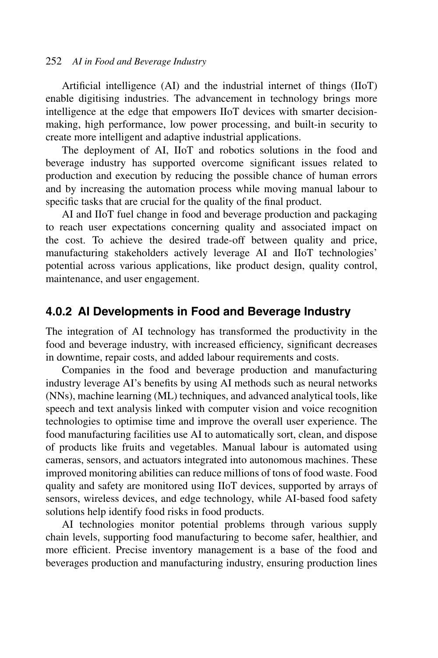#### 252 *AI in Food and Beverage Industry*

Artificial intelligence (AI) and the industrial internet of things (IIoT) enable digitising industries. The advancement in technology brings more intelligence at the edge that empowers IIoT devices with smarter decisionmaking, high performance, low power processing, and built-in security to create more intelligent and adaptive industrial applications.

The deployment of AI, IIoT and robotics solutions in the food and beverage industry has supported overcome significant issues related to production and execution by reducing the possible chance of human errors and by increasing the automation process while moving manual labour to specific tasks that are crucial for the quality of the final product.

AI and IIoT fuel change in food and beverage production and packaging to reach user expectations concerning quality and associated impact on the cost. To achieve the desired trade-off between quality and price, manufacturing stakeholders actively leverage AI and IIoT technologies' potential across various applications, like product design, quality control, maintenance, and user engagement.

#### **4.0.2 AI Developments in Food and Beverage Industry**

The integration of AI technology has transformed the productivity in the food and beverage industry, with increased efficiency, significant decreases in downtime, repair costs, and added labour requirements and costs.

Companies in the food and beverage production and manufacturing industry leverage AI's benefits by using AI methods such as neural networks (NNs), machine learning (ML) techniques, and advanced analytical tools, like speech and text analysis linked with computer vision and voice recognition technologies to optimise time and improve the overall user experience. The food manufacturing facilities use AI to automatically sort, clean, and dispose of products like fruits and vegetables. Manual labour is automated using cameras, sensors, and actuators integrated into autonomous machines. These improved monitoring abilities can reduce millions of tons of food waste. Food quality and safety are monitored using IIoT devices, supported by arrays of sensors, wireless devices, and edge technology, while AI-based food safety solutions help identify food risks in food products.

AI technologies monitor potential problems through various supply chain levels, supporting food manufacturing to become safer, healthier, and more efficient. Precise inventory management is a base of the food and beverages production and manufacturing industry, ensuring production lines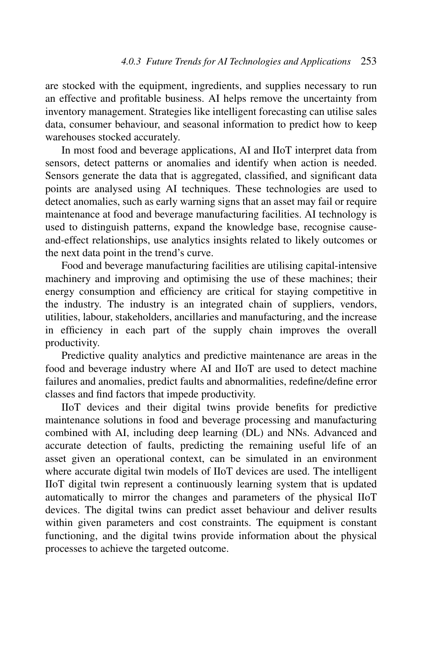are stocked with the equipment, ingredients, and supplies necessary to run an effective and profitable business. AI helps remove the uncertainty from inventory management. Strategies like intelligent forecasting can utilise sales data, consumer behaviour, and seasonal information to predict how to keep warehouses stocked accurately.

In most food and beverage applications, AI and IIoT interpret data from sensors, detect patterns or anomalies and identify when action is needed. Sensors generate the data that is aggregated, classified, and significant data points are analysed using AI techniques. These technologies are used to detect anomalies, such as early warning signs that an asset may fail or require maintenance at food and beverage manufacturing facilities. AI technology is used to distinguish patterns, expand the knowledge base, recognise causeand-effect relationships, use analytics insights related to likely outcomes or the next data point in the trend's curve.

Food and beverage manufacturing facilities are utilising capital-intensive machinery and improving and optimising the use of these machines; their energy consumption and efficiency are critical for staying competitive in the industry. The industry is an integrated chain of suppliers, vendors, utilities, labour, stakeholders, ancillaries and manufacturing, and the increase in efficiency in each part of the supply chain improves the overall productivity.

Predictive quality analytics and predictive maintenance are areas in the food and beverage industry where AI and IIoT are used to detect machine failures and anomalies, predict faults and abnormalities, redefine/define error classes and find factors that impede productivity.

IIoT devices and their digital twins provide benefits for predictive maintenance solutions in food and beverage processing and manufacturing combined with AI, including deep learning (DL) and NNs. Advanced and accurate detection of faults, predicting the remaining useful life of an asset given an operational context, can be simulated in an environment where accurate digital twin models of IIoT devices are used. The intelligent IIoT digital twin represent a continuously learning system that is updated automatically to mirror the changes and parameters of the physical IIoT devices. The digital twins can predict asset behaviour and deliver results within given parameters and cost constraints. The equipment is constant functioning, and the digital twins provide information about the physical processes to achieve the targeted outcome.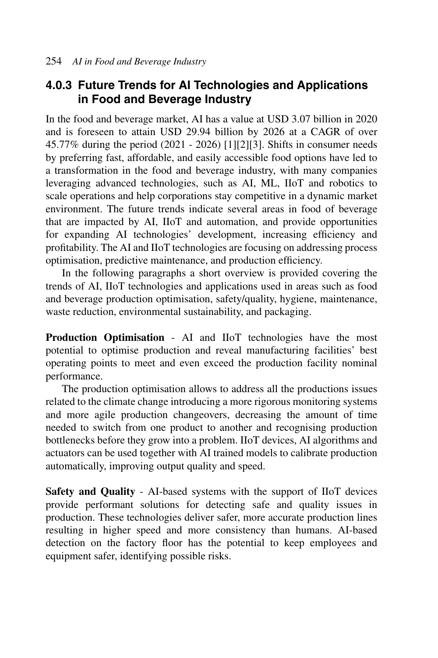## **4.0.3 Future Trends for AI Technologies and Applications in Food and Beverage Industry**

In the food and beverage market, AI has a value at USD 3.07 billion in 2020 and is foreseen to attain USD 29.94 billion by 2026 at a CAGR of over 45.77% during the period (2021 - 2026) [1][2][3]. Shifts in consumer needs by preferring fast, affordable, and easily accessible food options have led to a transformation in the food and beverage industry, with many companies leveraging advanced technologies, such as AI, ML, IIoT and robotics to scale operations and help corporations stay competitive in a dynamic market environment. The future trends indicate several areas in food of beverage that are impacted by AI, IIoT and automation, and provide opportunities for expanding AI technologies' development, increasing efficiency and profitability. The AI and IIoT technologies are focusing on addressing process optimisation, predictive maintenance, and production efficiency.

In the following paragraphs a short overview is provided covering the trends of AI, IIoT technologies and applications used in areas such as food and beverage production optimisation, safety/quality, hygiene, maintenance, waste reduction, environmental sustainability, and packaging.

**Production Optimisation** - AI and IIoT technologies have the most potential to optimise production and reveal manufacturing facilities' best operating points to meet and even exceed the production facility nominal performance.

The production optimisation allows to address all the productions issues related to the climate change introducing a more rigorous monitoring systems and more agile production changeovers, decreasing the amount of time needed to switch from one product to another and recognising production bottlenecks before they grow into a problem. IIoT devices, AI algorithms and actuators can be used together with AI trained models to calibrate production automatically, improving output quality and speed.

**Safety and Quality** - AI-based systems with the support of IIoT devices provide performant solutions for detecting safe and quality issues in production. These technologies deliver safer, more accurate production lines resulting in higher speed and more consistency than humans. AI-based detection on the factory floor has the potential to keep employees and equipment safer, identifying possible risks.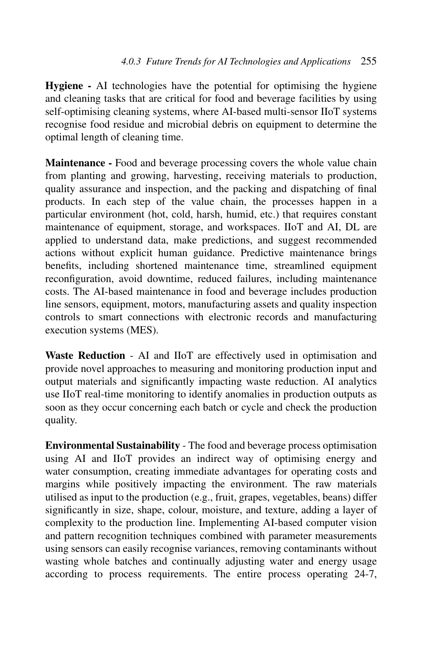**Hygiene -** AI technologies have the potential for optimising the hygiene and cleaning tasks that are critical for food and beverage facilities by using self-optimising cleaning systems, where AI-based multi-sensor IIoT systems recognise food residue and microbial debris on equipment to determine the optimal length of cleaning time.

**Maintenance -** Food and beverage processing covers the whole value chain from planting and growing, harvesting, receiving materials to production, quality assurance and inspection, and the packing and dispatching of final products. In each step of the value chain, the processes happen in a particular environment (hot, cold, harsh, humid, etc.) that requires constant maintenance of equipment, storage, and workspaces. IIoT and AI, DL are applied to understand data, make predictions, and suggest recommended actions without explicit human guidance. Predictive maintenance brings benefits, including shortened maintenance time, streamlined equipment reconfiguration, avoid downtime, reduced failures, including maintenance costs. The AI-based maintenance in food and beverage includes production line sensors, equipment, motors, manufacturing assets and quality inspection controls to smart connections with electronic records and manufacturing execution systems (MES).

**Waste Reduction** - AI and IIoT are effectively used in optimisation and provide novel approaches to measuring and monitoring production input and output materials and significantly impacting waste reduction. AI analytics use IIoT real-time monitoring to identify anomalies in production outputs as soon as they occur concerning each batch or cycle and check the production quality.

**Environmental Sustainability** - The food and beverage process optimisation using AI and IIoT provides an indirect way of optimising energy and water consumption, creating immediate advantages for operating costs and margins while positively impacting the environment. The raw materials utilised as input to the production (e.g., fruit, grapes, vegetables, beans) differ significantly in size, shape, colour, moisture, and texture, adding a layer of complexity to the production line. Implementing AI-based computer vision and pattern recognition techniques combined with parameter measurements using sensors can easily recognise variances, removing contaminants without wasting whole batches and continually adjusting water and energy usage according to process requirements. The entire process operating 24-7,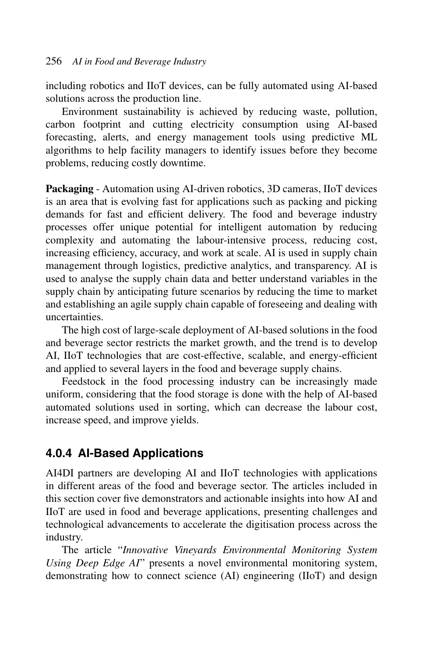including robotics and IIoT devices, can be fully automated using AI-based solutions across the production line.

Environment sustainability is achieved by reducing waste, pollution, carbon footprint and cutting electricity consumption using AI-based forecasting, alerts, and energy management tools using predictive ML algorithms to help facility managers to identify issues before they become problems, reducing costly downtime.

**Packaging** - Automation using AI-driven robotics, 3D cameras, IIoT devices is an area that is evolving fast for applications such as packing and picking demands for fast and efficient delivery. The food and beverage industry processes offer unique potential for intelligent automation by reducing complexity and automating the labour-intensive process, reducing cost, increasing efficiency, accuracy, and work at scale. AI is used in supply chain management through logistics, predictive analytics, and transparency. AI is used to analyse the supply chain data and better understand variables in the supply chain by anticipating future scenarios by reducing the time to market and establishing an agile supply chain capable of foreseeing and dealing with uncertainties.

The high cost of large-scale deployment of AI-based solutions in the food and beverage sector restricts the market growth, and the trend is to develop AI, IIoT technologies that are cost-effective, scalable, and energy-efficient and applied to several layers in the food and beverage supply chains.

Feedstock in the food processing industry can be increasingly made uniform, considering that the food storage is done with the help of AI-based automated solutions used in sorting, which can decrease the labour cost, increase speed, and improve yields.

## **4.0.4 AI-Based Applications**

AI4DI partners are developing AI and IIoT technologies with applications in different areas of the food and beverage sector. The articles included in this section cover five demonstrators and actionable insights into how AI and IIoT are used in food and beverage applications, presenting challenges and technological advancements to accelerate the digitisation process across the industry.

The article "*Innovative Vineyards Environmental Monitoring System Using Deep Edge AI*" presents a novel environmental monitoring system, demonstrating how to connect science (AI) engineering (IIoT) and design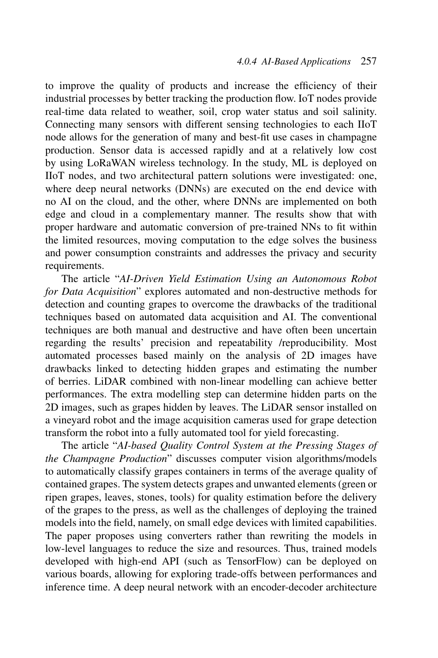to improve the quality of products and increase the efficiency of their industrial processes by better tracking the production flow. IoT nodes provide real-time data related to weather, soil, crop water status and soil salinity. Connecting many sensors with different sensing technologies to each IIoT node allows for the generation of many and best-fit use cases in champagne production. Sensor data is accessed rapidly and at a relatively low cost by using LoRaWAN wireless technology. In the study, ML is deployed on IIoT nodes, and two architectural pattern solutions were investigated: one, where deep neural networks (DNNs) are executed on the end device with no AI on the cloud, and the other, where DNNs are implemented on both edge and cloud in a complementary manner. The results show that with proper hardware and automatic conversion of pre-trained NNs to fit within the limited resources, moving computation to the edge solves the business and power consumption constraints and addresses the privacy and security requirements.

The article "*AI-Driven Yield Estimation Using an Autonomous Robot for Data Acquisition*" explores automated and non-destructive methods for detection and counting grapes to overcome the drawbacks of the traditional techniques based on automated data acquisition and AI. The conventional techniques are both manual and destructive and have often been uncertain regarding the results' precision and repeatability /reproducibility. Most automated processes based mainly on the analysis of 2D images have drawbacks linked to detecting hidden grapes and estimating the number of berries. LiDAR combined with non-linear modelling can achieve better performances. The extra modelling step can determine hidden parts on the 2D images, such as grapes hidden by leaves. The LiDAR sensor installed on a vineyard robot and the image acquisition cameras used for grape detection transform the robot into a fully automated tool for yield forecasting.

The article "*AI-based Quality Control System at the Pressing Stages of the Champagne Production*" discusses computer vision algorithms/models to automatically classify grapes containers in terms of the average quality of contained grapes. The system detects grapes and unwanted elements (green or ripen grapes, leaves, stones, tools) for quality estimation before the delivery of the grapes to the press, as well as the challenges of deploying the trained models into the field, namely, on small edge devices with limited capabilities. The paper proposes using converters rather than rewriting the models in low-level languages to reduce the size and resources. Thus, trained models developed with high-end API (such as TensorFlow) can be deployed on various boards, allowing for exploring trade-offs between performances and inference time. A deep neural network with an encoder-decoder architecture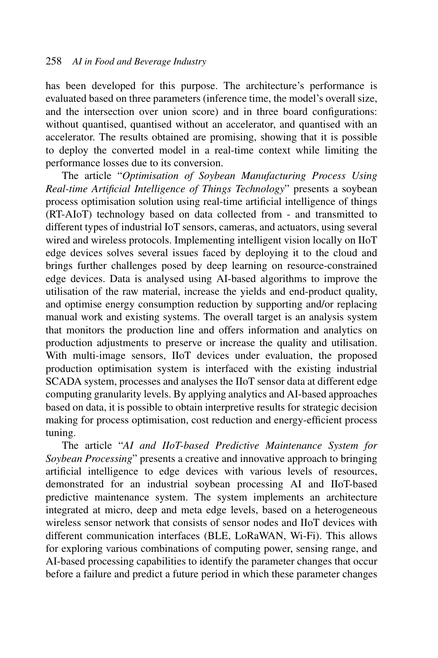has been developed for this purpose. The architecture's performance is evaluated based on three parameters (inference time, the model's overall size, and the intersection over union score) and in three board configurations: without quantised, quantised without an accelerator, and quantised with an accelerator. The results obtained are promising, showing that it is possible to deploy the converted model in a real-time context while limiting the performance losses due to its conversion.

The article "*Optimisation of Soybean Manufacturing Process Using Real-time Artificial Intelligence of Things Technology*" presents a soybean process optimisation solution using real-time artificial intelligence of things (RT-AIoT) technology based on data collected from - and transmitted to different types of industrial IoT sensors, cameras, and actuators, using several wired and wireless protocols. Implementing intelligent vision locally on IIoT edge devices solves several issues faced by deploying it to the cloud and brings further challenges posed by deep learning on resource-constrained edge devices. Data is analysed using AI-based algorithms to improve the utilisation of the raw material, increase the yields and end-product quality, and optimise energy consumption reduction by supporting and/or replacing manual work and existing systems. The overall target is an analysis system that monitors the production line and offers information and analytics on production adjustments to preserve or increase the quality and utilisation. With multi-image sensors, IIoT devices under evaluation, the proposed production optimisation system is interfaced with the existing industrial SCADA system, processes and analyses the IIoT sensor data at different edge computing granularity levels. By applying analytics and AI-based approaches based on data, it is possible to obtain interpretive results for strategic decision making for process optimisation, cost reduction and energy-efficient process tuning.

The article "*AI and IIoT-based Predictive Maintenance System for Soybean Processing*" presents a creative and innovative approach to bringing artificial intelligence to edge devices with various levels of resources, demonstrated for an industrial soybean processing AI and IIoT-based predictive maintenance system. The system implements an architecture integrated at micro, deep and meta edge levels, based on a heterogeneous wireless sensor network that consists of sensor nodes and IIoT devices with different communication interfaces (BLE, LoRaWAN, Wi-Fi). This allows for exploring various combinations of computing power, sensing range, and AI-based processing capabilities to identify the parameter changes that occur before a failure and predict a future period in which these parameter changes